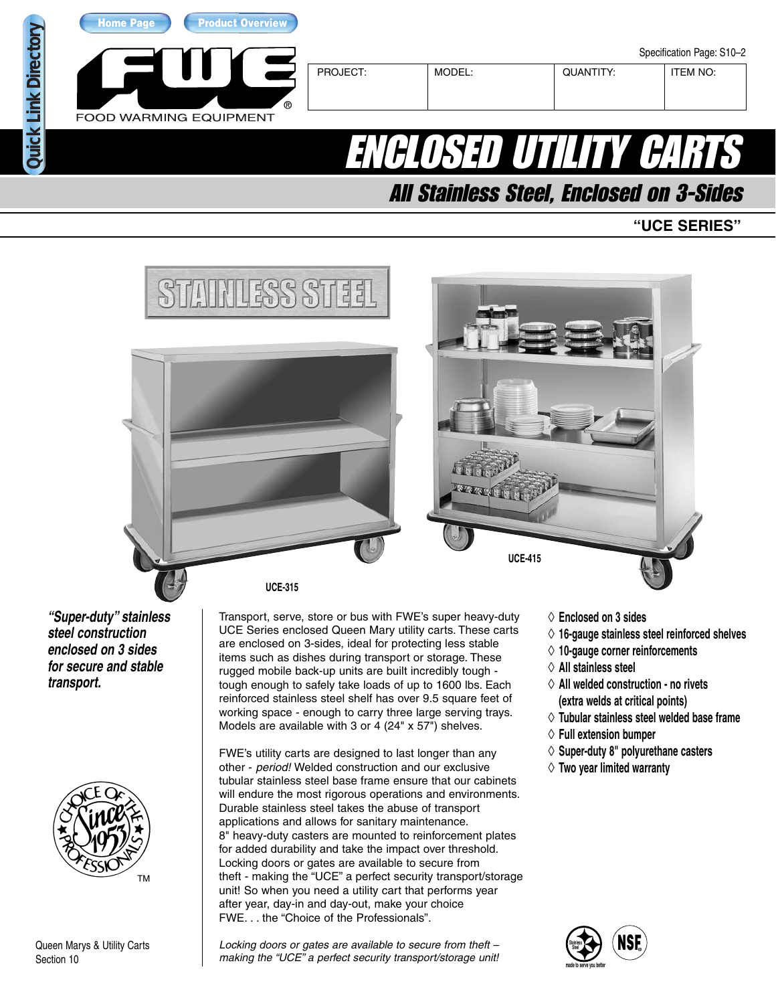

# ENCLOSED UTILITY CAR

All Stainless Steel, Enclosed on 3-Sides

## **"UCE SERIES"**





Queen Marys & Utility Carts Section 10

Locking doors or gates are available to secure from theft – making the "UCE" a perfect security transport/storage unit!

theft - making the "UCE" a perfect security transport/storage unit! So when you need a utility cart that performs year after year, day-in and day-out, make your choice FWE. . . the "Choice of the Professionals".

- ◊ **16-gauge stainless steel reinforced shelves**
- ◊ **Tubular stainless steel welded base frame**